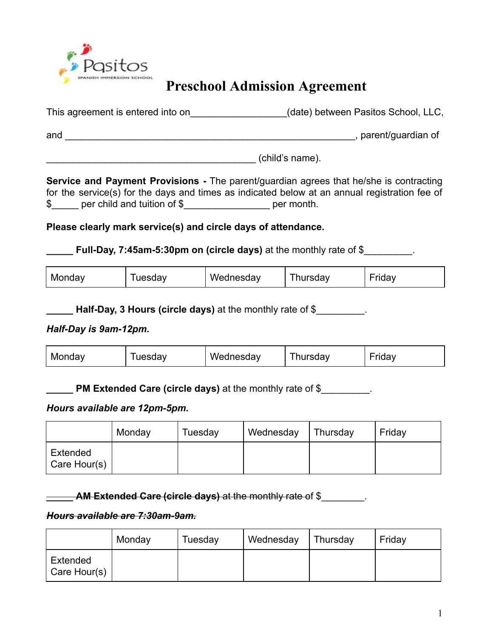

# **Preschool Admission Agreement**

This agreement is entered into on\_\_\_\_\_\_\_\_\_\_\_\_\_\_\_\_(date) between Pasitos School, LLC, and \_\_\_\_\_\_\_\_\_\_\_\_\_\_\_\_\_\_\_\_\_\_\_\_\_\_\_\_\_\_\_\_\_\_\_\_\_\_\_\_\_\_\_\_\_\_\_\_\_\_\_\_\_\_, parent/guardian of \_\_\_\_\_\_\_\_\_\_\_\_\_\_\_\_\_\_\_\_\_\_\_\_\_\_\_\_\_\_\_\_\_\_\_\_\_\_\_ (child's name).

**Service and Payment Provisions -** The parent/guardian agrees that he/she is contracting for the service(s) for the days and times as indicated below at an annual registration fee of \$\_\_\_\_\_ per child and tuition of \$\_\_\_\_\_\_\_\_\_\_\_\_\_\_\_\_ per month.

## **Please clearly mark service(s) and circle days of attendance.**

### **Full-Day, 7:45am-5:30pm on (circle days)** at the monthly rate of \$

| Monday<br>uesday | Wednesday | hursday | rday. |  |
|------------------|-----------|---------|-------|--|
|------------------|-----------|---------|-------|--|

**\_\_\_\_\_ Half-Day, 3 Hours (circle days)** at the monthly rate of \$\_\_\_\_\_\_\_\_\_.

## *Half-Day is 9am-12pm.*

| Monday<br>uesuav | Wednesdav | hursday | <b>H</b> uav |
|------------------|-----------|---------|--------------|
|------------------|-----------|---------|--------------|

**PM Extended Care (circle days)** at the monthly rate of \$

#### *Hours available are 12pm-5pm.*

|                          | Monday | Tuesday | Wednesday | Thursday | Friday |
|--------------------------|--------|---------|-----------|----------|--------|
| Extended<br>Care Hour(s) |        |         |           |          |        |

**AM Extended Care (circle days)** at the monthly rate of \$

#### *Hours available are 7:30am-9am.*

|                          | Monday | Tuesday | Wednesday | Thursday | Friday |
|--------------------------|--------|---------|-----------|----------|--------|
| Extended<br>Care Hour(s) |        |         |           |          |        |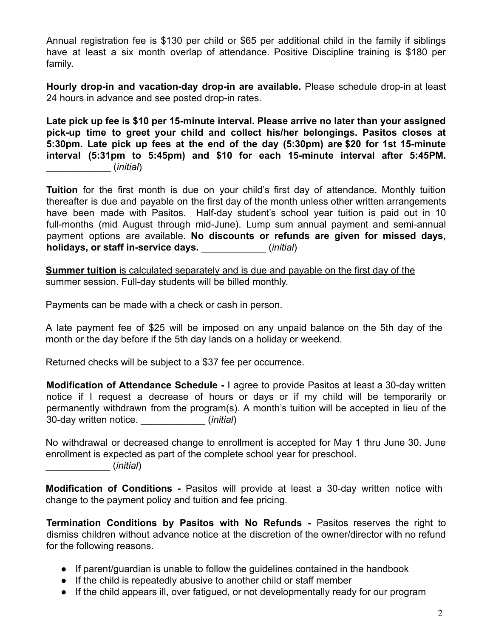Annual registration fee is \$130 per child or \$65 per additional child in the family if siblings have at least a six month overlap of attendance. Positive Discipline training is \$180 per family.

**Hourly drop-in and vacation-day drop-in are available.** Please schedule drop-in at least 24 hours in advance and see posted drop-in rates.

**Late pick up fee is \$10 per 15-minute interval. Please arrive no later than your assigned pick-up time to greet your child and collect his/her belongings. Pasitos closes at 5:30pm. Late pick up fees at the end of the day (5:30pm) are \$20 for 1st 15-minute interval (5:31pm to 5:45pm) and \$10 for each 15-minute interval after 5:45PM.** \_\_\_\_\_\_\_\_\_\_\_\_ (*initial*)

**Tuition** for the first month is due on your child's first day of attendance. Monthly tuition thereafter is due and payable on the first day of the month unless other written arrangements have been made with Pasitos. Half-day student's school year tuition is paid out in 10 full-months (mid August through mid-June). Lump sum annual payment and semi-annual payment options are available. **No discounts or refunds are given for missed days, holidays, or staff in-service days.** \_\_\_\_\_\_\_\_\_\_\_\_ (*initial*)

**Summer tuition** is calculated separately and is due and payable on the first day of the summer session. Full-day students will be billed monthly.

Payments can be made with a check or cash in person.

A late payment fee of \$25 will be imposed on any unpaid balance on the 5th day of the month or the day before if the 5th day lands on a holiday or weekend.

Returned checks will be subject to a \$37 fee per occurrence.

**Modification of Attendance Schedule -** I agree to provide Pasitos at least a 30-day written notice if I request a decrease of hours or days or if my child will be temporarily or permanently withdrawn from the program(s). A month's tuition will be accepted in lieu of the 30-day written notice. \_\_\_\_\_\_\_\_\_\_\_\_ (*initial*)

No withdrawal or decreased change to enrollment is accepted for May 1 thru June 30. June enrollment is expected as part of the complete school year for preschool. \_\_\_\_\_\_\_\_\_\_\_\_ (*initial*)

**Modification of Conditions -** Pasitos will provide at least a 30-day written notice with change to the payment policy and tuition and fee pricing.

**Termination Conditions by Pasitos with No Refunds -** Pasitos reserves the right to dismiss children without advance notice at the discretion of the owner/director with no refund for the following reasons.

- If parent/guardian is unable to follow the guidelines contained in the handbook
- If the child is repeatedly abusive to another child or staff member
- If the child appears ill, over fatigued, or not developmentally ready for our program